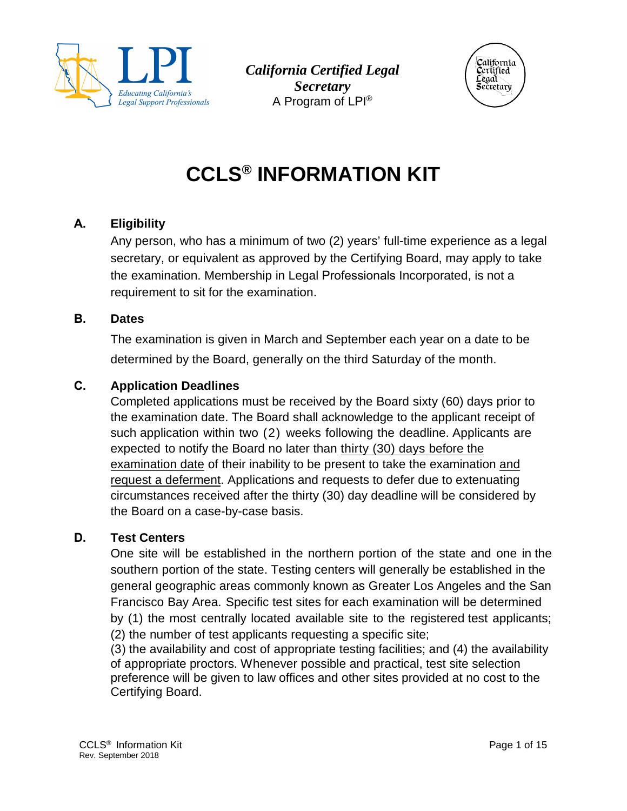

*California Certified Legal Secretary*  A Program of LPI ®



# **CCLS® INFORMATION KIT**

## **A. Eligibility**

Any person, who has a minimum of two (2) years' full-time experience as a legal secretary, or equivalent as approved by the Certifying Board, may apply to take the examination. Membership in Legal Professionals Incorporated, is not a requirement to sit for the examination.

#### **B. Dates**

The examination is given in March and September each year on a date to be determined by the Board, generally on the third Saturday of the month.

## **C. Application Deadlines**

Completed applications must be received by the Board sixty (60) days prior to the examination date. The Board shall acknowledge to the applicant receipt of such application within two (2) weeks following the deadline. Applicants are expected to notify the Board no later than thirty (30) days before the examination date of their inability to be present to take the examination and request a deferment. Applications and requests to defer due to extenuating circumstances received after the thirty (30) day deadline will be considered by the Board on a case-by-case basis.

## **D. Test Centers**

One site will be established in the northern portion of the state and one in the southern portion of the state. Testing centers will generally be established in the general geographic areas commonly known as Greater Los Angeles and the San Francisco Bay Area. Specific test sites for each examination will be determined by (1) the most centrally located available site to the registered test applicants; (2) the number of test applicants requesting a specific site;

(3) the availability and cost of appropriate testing facilities; and (4) the availability of appropriate proctors. Whenever possible and practical, test site selection preference will be given to law offices and other sites provided at no cost to the Certifying Board.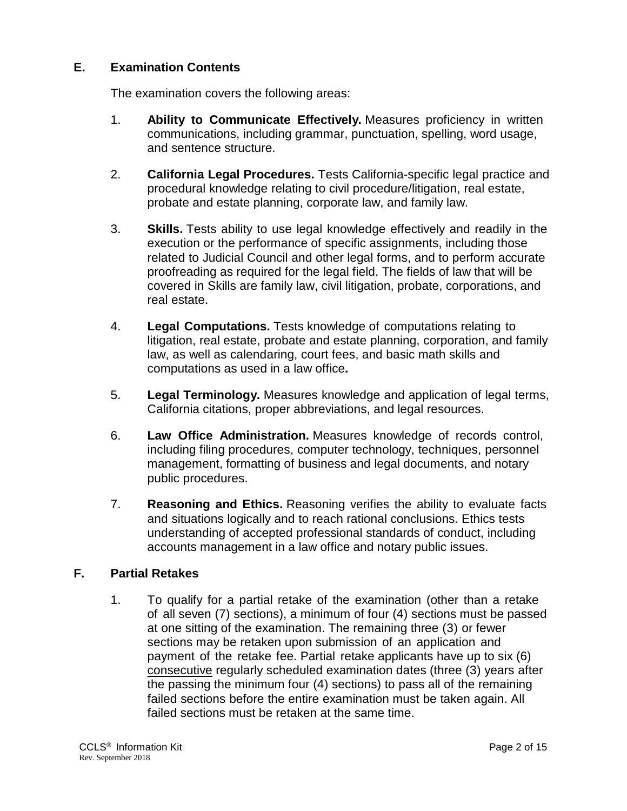## **E. Examination Contents**

The examination covers the following areas:

- 1. **Ability to Communicate Effectively.** Measures proficiency in written communications, including grammar, punctuation, spelling, word usage, and sentence structure.
- 2. **California Legal Procedures.** Tests California-specific legal practice and procedural knowledge relating to civil procedure/litigation, real estate, probate and estate planning, corporate law, and family law.
- 3. **Skills.** Tests ability to use legal knowledge effectively and readily in the execution or the performance of specific assignments, including those related to Judicial Council and other legal forms, and to perform accurate proofreading as required for the legal field. The fields of law that will be covered in Skills are family law, civil litigation, probate, corporations, and real estate.
- 4. **Legal Computations.** Tests knowledge of computations relating to litigation, real estate, probate and estate planning, corporation, and family law, as well as calendaring, court fees, and basic math skills and computations as used in a law office**.**
- 5. **Legal Terminology.** Measures knowledge and application of legal terms, California citations, proper abbreviations, and legal resources.
- 6. **Law Office Administration.** Measures knowledge of records control, including filing procedures, computer technology, techniques, personnel management, formatting of business and legal documents, and notary public procedures.
- 7. **Reasoning and Ethics.** Reasoning verifies the ability to evaluate facts and situations logically and to reach rational conclusions. Ethics tests understanding of accepted professional standards of conduct, including accounts management in a law office and notary public issues.

#### **F. Partial Retakes**

1. To qualify for a partial retake of the examination (other than a retake of all seven (7) sections), a minimum of four (4) sections must be passed at one sitting of the examination. The remaining three (3) or fewer sections may be retaken upon submission of an application and payment of the retake fee. Partial retake applicants have up to six (6) consecutive regularly scheduled examination dates (three (3) years after the passing the minimum four (4) sections) to pass all of the remaining failed sections before the entire examination must be taken again. All failed sections must be retaken at the same time.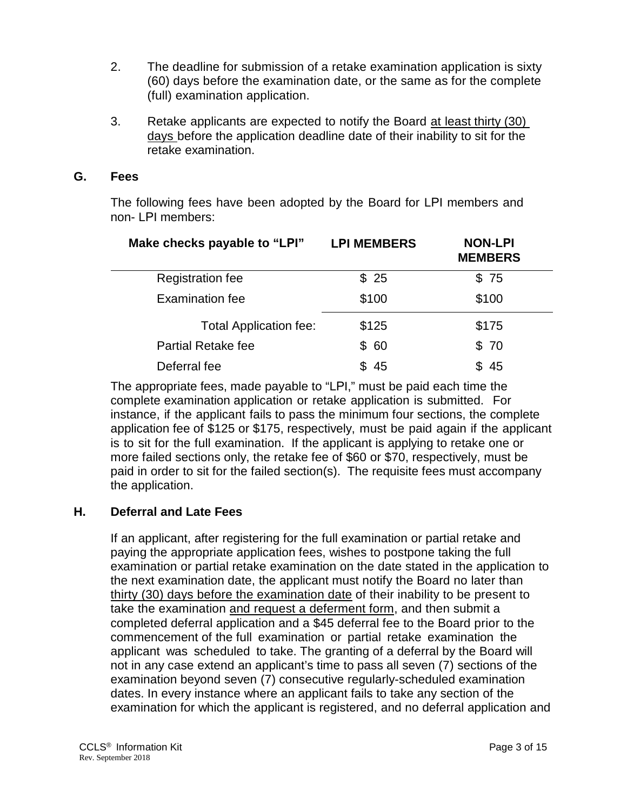- 2. The deadline for submission of a retake examination application is sixty (60) days before the examination date, or the same as for the complete (full) examination application.
- 3. Retake applicants are expected to notify the Board at least thirty (30) days before the application deadline date of their inability to sit for the retake examination.

#### **G. Fees**

The following fees have been adopted by the Board for LPI members and non- LPI members:

| Make checks payable to "LPI"  | <b>LPI MEMBERS</b> | <b>NON-LPI</b><br><b>MEMBERS</b> |
|-------------------------------|--------------------|----------------------------------|
| <b>Registration fee</b>       | \$25               | \$75                             |
| <b>Examination fee</b>        | \$100              | \$100                            |
| <b>Total Application fee:</b> | \$125              | \$175                            |
| <b>Partial Retake fee</b>     | \$60               | \$70                             |
| Deferral fee                  | -45                | \$45                             |

The appropriate fees, made payable to "LPI," must be paid each time the complete examination application or retake application is submitted. For instance, if the applicant fails to pass the minimum four sections, the complete application fee of \$125 or \$175, respectively, must be paid again if the applicant is to sit for the full examination. If the applicant is applying to retake one or more failed sections only, the retake fee of \$60 or \$70, respectively, must be paid in order to sit for the failed section(s). The requisite fees must accompany the application.

#### **H. Deferral and Late Fees**

If an applicant, after registering for the full examination or partial retake and paying the appropriate application fees, wishes to postpone taking the full examination or partial retake examination on the date stated in the application to the next examination date, the applicant must notify the Board no later than thirty (30) days before the examination date of their inability to be present to take the examination and request a deferment form, and then submit a completed deferral application and a \$45 deferral fee to the Board prior to the commencement of the full examination or partial retake examination the applicant was scheduled to take. The granting of a deferral by the Board will not in any case extend an applicant's time to pass all seven (7) sections of the examination beyond seven (7) consecutive regularly-scheduled examination dates. In every instance where an applicant fails to take any section of the examination for which the applicant is registered, and no deferral application and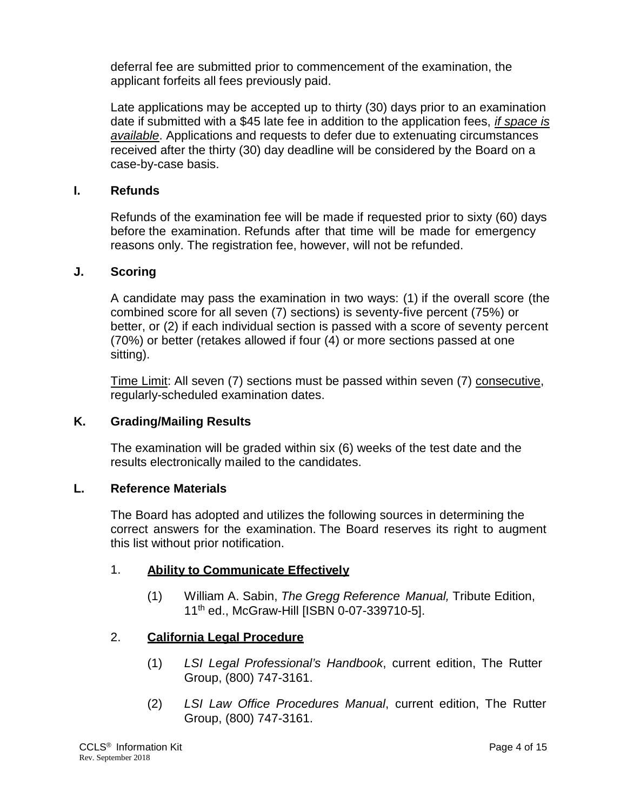deferral fee are submitted prior to commencement of the examination, the applicant forfeits all fees previously paid.

Late applications may be accepted up to thirty (30) days prior to an examination date if submitted with a \$45 late fee in addition to the application fees, *if space is available*. Applications and requests to defer due to extenuating circumstances received after the thirty (30) day deadline will be considered by the Board on a case-by-case basis.

#### **I. Refunds**

Refunds of the examination fee will be made if requested prior to sixty (60) days before the examination. Refunds after that time will be made for emergency reasons only. The registration fee, however, will not be refunded.

#### **J. Scoring**

A candidate may pass the examination in two ways: (1) if the overall score (the combined score for all seven (7) sections) is seventy-five percent (75%) or better, or (2) if each individual section is passed with a score of seventy percent (70%) or better (retakes allowed if four (4) or more sections passed at one sitting).

Time Limit: All seven (7) sections must be passed within seven (7) consecutive, regularly-scheduled examination dates.

#### **K. Grading/Mailing Results**

The examination will be graded within six (6) weeks of the test date and the results electronically mailed to the candidates.

#### **L. Reference Materials**

The Board has adopted and utilizes the following sources in determining the correct answers for the examination. The Board reserves its right to augment this list without prior notification.

#### 1. **Ability to Communicate Effectively**

(1) William A. Sabin, *The Gregg Reference Manual,* Tribute Edition, 11th ed., McGraw-Hill [ISBN 0-07-339710-5].

#### 2. **California Legal Procedure**

- (1) *LSI Legal Professional's Handbook*, current edition, The Rutter Group, (800) 747-3161.
- (2) *LSI Law Office Procedures Manual*, current edition, The Rutter Group, (800) 747-3161.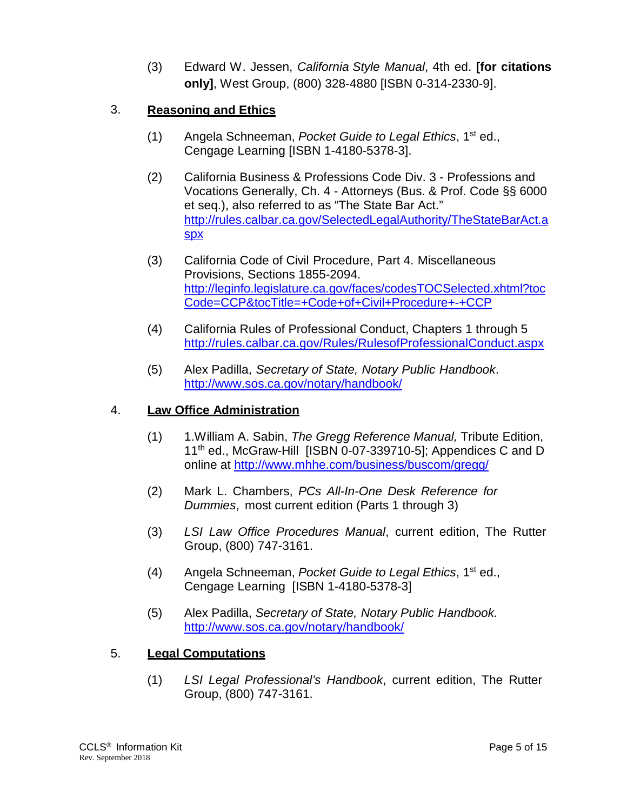(3) Edward W. Jessen, *California Style Manual*, 4th ed. **[for citations only]**, West Group, (800) 328-4880 [ISBN 0-314-2330-9].

## 3. **Reasoning and Ethics**

- (1) Angela Schneeman, *Pocket Guide to Legal Ethics*, 1st ed., Cengage Learning [ISBN 1-4180-5378-3].
- (2) California Business & Professions Code Div. 3 Professions and Vocations Generally, Ch. 4 - Attorneys (Bus. & Prof. Code §§ 6000 et seq.), also referred to as "The State Bar Act." [http://rules.calbar.ca.gov/SelectedLegalAuthority/TheStateBarAct.a](http://rules.calbar.ca.gov/SelectedLegalAuthority/TheStateBarAct.aspx) [spx](http://rules.calbar.ca.gov/SelectedLegalAuthority/TheStateBarAct.aspx)
- (3) California Code of Civil Procedure, Part 4. Miscellaneous Provisions, Sections 1855-2094. [http://leginfo.legislature.ca.gov/faces/codesTOCSelected.xhtml?toc](http://leginfo.legislature.ca.gov/faces/codesTOCSelected.xhtml?tocCode=CCP&tocTitle=+Code+of+Civil+Procedure+-+CCP) [Code=CCP&tocTitle=+Code+of+Civil+Procedure+-+CCP](http://leginfo.legislature.ca.gov/faces/codesTOCSelected.xhtml?tocCode=CCP&tocTitle=+Code+of+Civil+Procedure+-+CCP)
- (4) California Rules of Professional Conduct, Chapters 1 through 5 http://rules.calbar.ca.gov/Rules/RulesofProfessionalConduct.aspx
- (5) Alex Padilla, *Secretary of State, Notary Public Handbook*. <http://www.sos.ca.gov/notary/handbook/>

#### 4. **Law Office Administration**

- (1) 1.William A. Sabin, *The Gregg Reference Manual,* Tribute Edition, 11<sup>th</sup> ed., McGraw-Hill [ISBN 0-07-339710-5]; Appendices C and D online at<http://www.mhhe.com/business/buscom/gregg/>
- (2) Mark L. Chambers, *PCs All-In-One Desk Reference for Dummies*, most current edition (Parts 1 through 3)
- (3) *LSI Law Office Procedures Manual*, current edition, The Rutter Group, (800) 747-3161.
- (4) Angela Schneeman, *Pocket Guide to Legal Ethics*, 1st ed., Cengage Learning [ISBN 1-4180-5378-3]
- (5) Alex Padilla, *Secretary of State, Notary Public Handbook.* <http://www.sos.ca.gov/notary/handbook/>

## 5. **Legal Computations**

(1) *LSI Legal Professional's Handbook*, current edition, The Rutter Group, (800) 747-3161.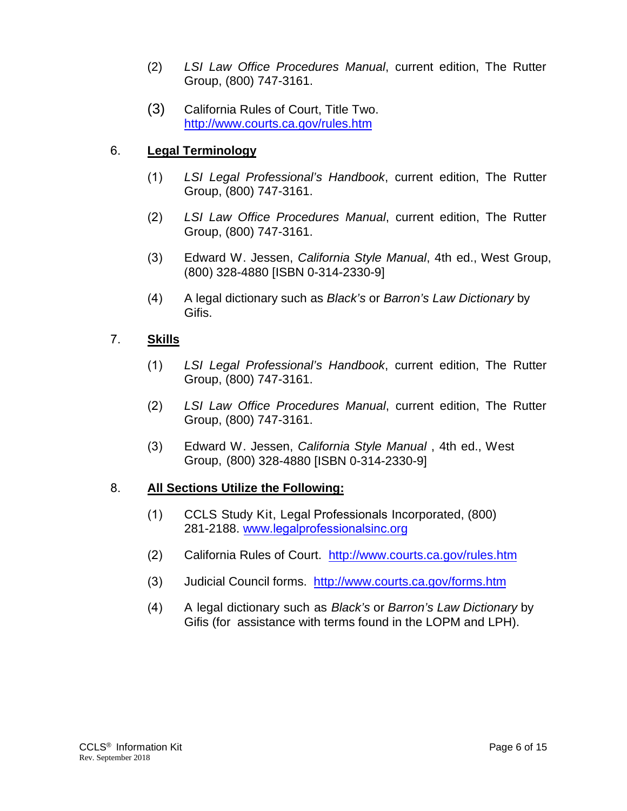- (2) *LSI Law Office Procedures Manual*, current edition, The Rutter Group, (800) 747-3161.
- (3) California Rules of Court, Title Two. <http://www.courts.ca.gov/rules.htm>

## 6. **Legal Terminology**

- (1) *LSI Legal Professional's Handbook*, current edition, The Rutter Group, (800) 747-3161.
- (2) *LSI Law Office Procedures Manual*, current edition, The Rutter Group, (800) 747-3161.
- (3) Edward W. Jessen, *California Style Manual*, 4th ed., West Group, (800) 328-4880 [ISBN 0-314-2330-9]
- (4) A legal dictionary such as *Black's* or *Barron's Law Dictionary* by Gifis.

## 7. **Skills**

- (1) *LSI Legal Professional's Handbook*, current edition, The Rutter Group, (800) 747-3161.
- (2) *LSI Law Office Procedures Manual*, current edition, The Rutter Group, (800) 747-3161.
- (3) Edward W. Jessen, *California Style Manual* , 4th ed., West Group, (800) 328-4880 [ISBN 0-314-2330-9]

## 8. **All Sections Utilize the Following:**

- (1) CCLS Study Kit, Legal Professionals Incorporated, (800) [281-2188.](http://www.lsi.org/) www.legalprofessionalsinc.org
- (2) California Rules of Court. <http://www.courts.ca.gov/rules.htm>
- (3) Judicial Council forms. <http://www.courts.ca.gov/forms.htm>
- (4) A legal dictionary such as *Black's* or *Barron's Law Dictionary* by Gifis (for assistance with terms found in the LOPM and LPH).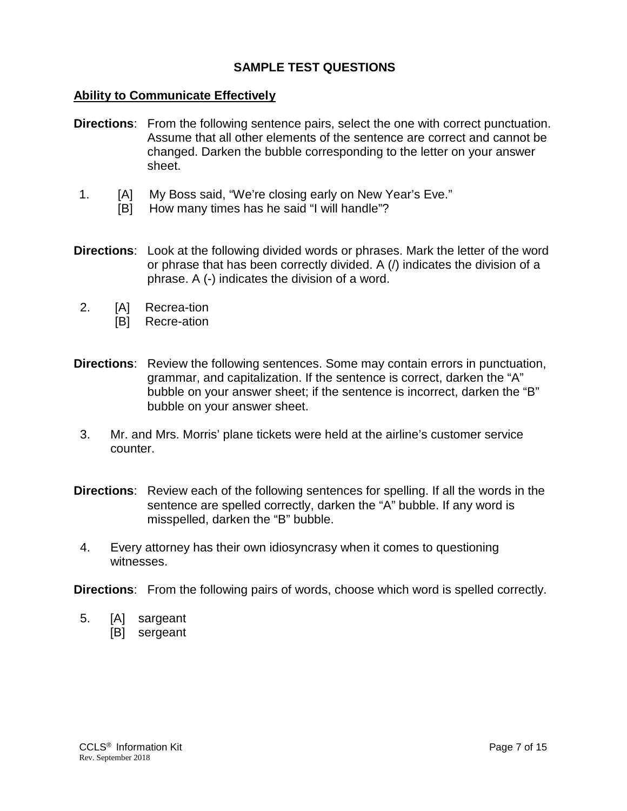#### **SAMPLE TEST QUESTIONS**

#### **Ability to Communicate Effectively**

- **Directions**: From the following sentence pairs, select the one with correct punctuation. Assume that all other elements of the sentence are correct and cannot be changed. Darken the bubble corresponding to the letter on your answer sheet.
- 1. [A] My Boss said, "We're closing early on New Year's Eve."
	- [B] How many times has he said "I will handle"?
- **Directions**: Look at the following divided words or phrases. Mark the letter of the word or phrase that has been correctly divided. A (/) indicates the division of a phrase. A (-) indicates the division of a word.
- 2. [A] Recrea-tion
	- [B] Recre-ation
- **Directions**: Review the following sentences. Some may contain errors in punctuation, grammar, and capitalization. If the sentence is correct, darken the "A" bubble on your answer sheet; if the sentence is incorrect, darken the "B" bubble on your answer sheet.
- 3. Mr. and Mrs. Morris' plane tickets were held at the airline's customer service counter.
- **Directions**: Review each of the following sentences for spelling. If all the words in the sentence are spelled correctly, darken the "A" bubble. If any word is misspelled, darken the "B" bubble.
- 4. Every attorney has their own idiosyncrasy when it comes to questioning witnesses.

**Directions**: From the following pairs of words, choose which word is spelled correctly.

- 5. [A] sargeant
	- [B] sergeant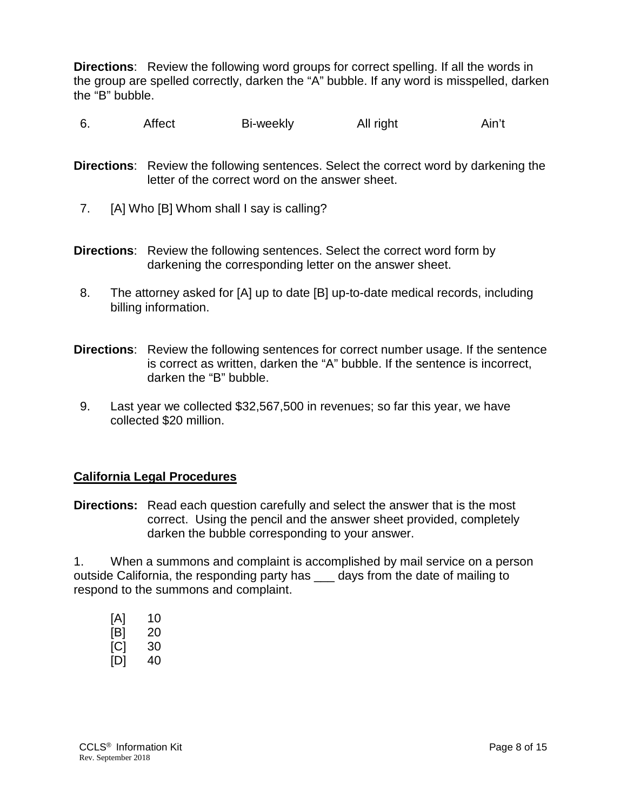**Directions**: Review the following word groups for correct spelling. If all the words in the group are spelled correctly, darken the "A" bubble. If any word is misspelled, darken the "B" bubble.

- 6. Affect Bi-weekly All right Ain't
- **Directions**: Review the following sentences. Select the correct word by darkening the letter of the correct word on the answer sheet.
- 7. [A] Who [B] Whom shall I say is calling?
- **Directions**: Review the following sentences. Select the correct word form by darkening the corresponding letter on the answer sheet.
- 8. The attorney asked for [A] up to date [B] up-to-date medical records, including billing information.
- **Directions**: Review the following sentences for correct number usage. If the sentence is correct as written, darken the "A" bubble. If the sentence is incorrect, darken the "B" bubble.
- 9. Last year we collected \$32,567,500 in revenues; so far this year, we have collected \$20 million.

#### **California Legal Procedures**

**Directions:** Read each question carefully and select the answer that is the most correct. Using the pencil and the answer sheet provided, completely darken the bubble corresponding to your answer.

1. When a summons and complaint is accomplished by mail service on a person outside California, the responding party has days from the date of mailing to respond to the summons and complaint.

| [A] | 10 |
|-----|----|
| [B] | 20 |
| [C] | 30 |
| [D] | 40 |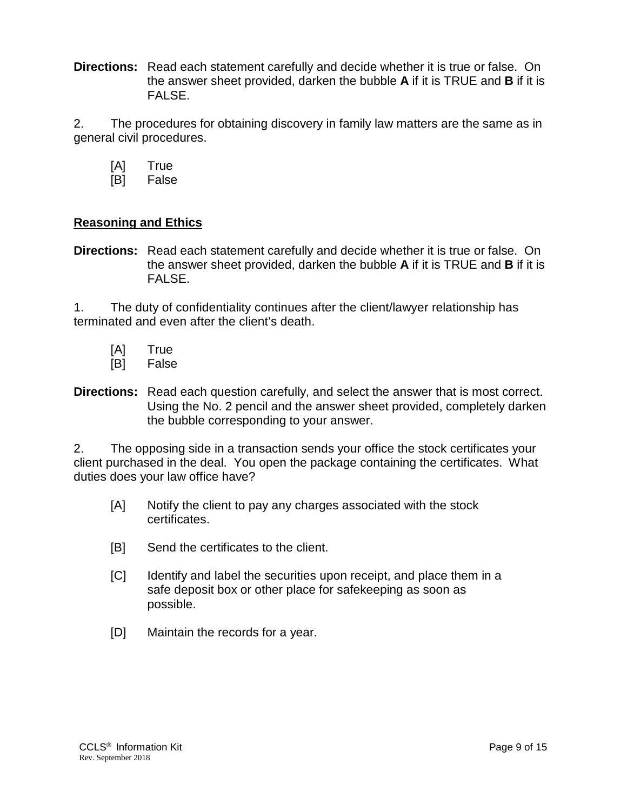**Directions:** Read each statement carefully and decide whether it is true or false. On the answer sheet provided, darken the bubble **A** if it is TRUE and **B** if it is FALSE.

2. The procedures for obtaining discovery in family law matters are the same as in general civil procedures.

- [A] True
- [B] False

#### **Reasoning and Ethics**

**Directions:** Read each statement carefully and decide whether it is true or false. On the answer sheet provided, darken the bubble **A** if it is TRUE and **B** if it is FALSE.

1. The duty of confidentiality continues after the client/lawyer relationship has terminated and even after the client's death.

- [A] True
- [B] False
- **Directions:** Read each question carefully, and select the answer that is most correct. Using the No. 2 pencil and the answer sheet provided, completely darken the bubble corresponding to your answer.

2. The opposing side in a transaction sends your office the stock certificates your client purchased in the deal. You open the package containing the certificates. What duties does your law office have?

- [A] Notify the client to pay any charges associated with the stock certificates.
- [B] Send the certificates to the client.
- [C] Identify and label the securities upon receipt, and place them in a safe deposit box or other place for safekeeping as soon as possible.
- [D] Maintain the records for a year.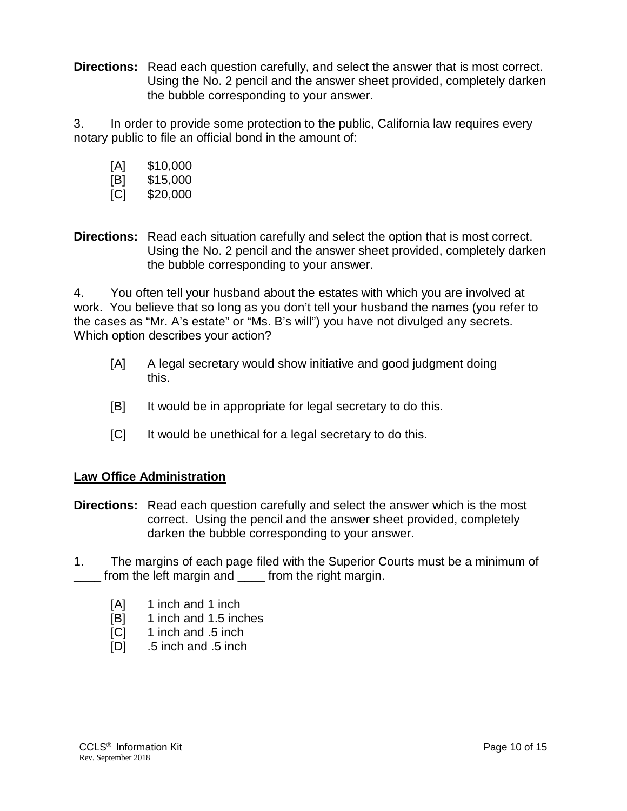**Directions:** Read each question carefully, and select the answer that is most correct. Using the No. 2 pencil and the answer sheet provided, completely darken the bubble corresponding to your answer.

3. In order to provide some protection to the public, California law requires every notary public to file an official bond in the amount of:

- [A] \$10,000
- [B] \$15,000
- [C] \$20,000

**Directions:** Read each situation carefully and select the option that is most correct. Using the No. 2 pencil and the answer sheet provided, completely darken the bubble corresponding to your answer.

4. You often tell your husband about the estates with which you are involved at work. You believe that so long as you don't tell your husband the names (you refer to the cases as "Mr. A's estate" or "Ms. B's will") you have not divulged any secrets. Which option describes your action?

- [A] A legal secretary would show initiative and good judgment doing this.
- [B] It would be in appropriate for legal secretary to do this.
- [C] It would be unethical for a legal secretary to do this.

## **Law Office Administration**

- **Directions:** Read each question carefully and select the answer which is the most correct. Using the pencil and the answer sheet provided, completely darken the bubble corresponding to your answer.
- 1. The margins of each page filed with the Superior Courts must be a minimum of from the left margin and from the right margin.
	- [A] 1 inch and 1 inch
	- [B] 1 inch and 1.5 inches
	- [C] 1 inch and .5 inch
	- [D] .5 inch and .5 inch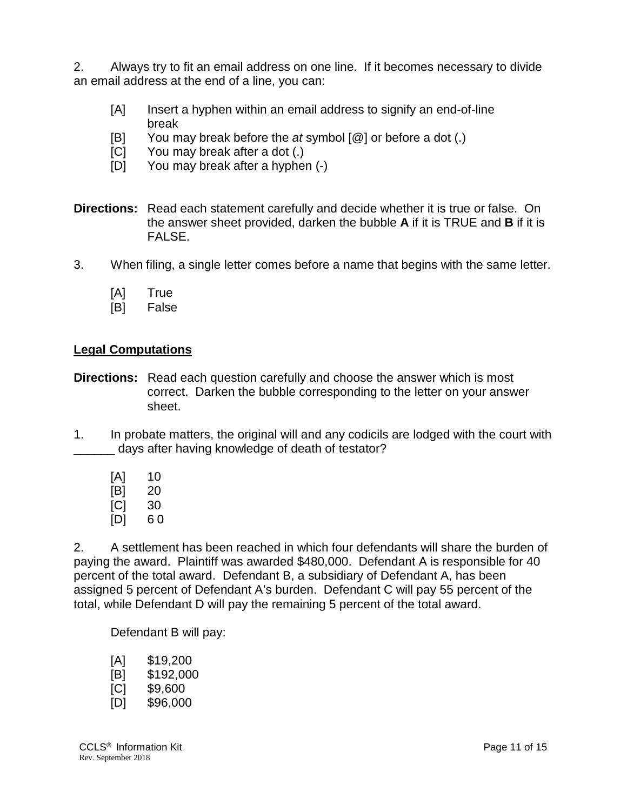2. Always try to fit an email address on one line. If it becomes necessary to divide an email address at the end of a line, you can:

- [A] Insert a hyphen within an email address to signify an end-of-line break
- [B] You may break before the *at* symbol [@] or before a dot (.)
- [C] You may break after a dot (.)
- [D] You may break after a hyphen (-)
- **Directions:** Read each statement carefully and decide whether it is true or false. On the answer sheet provided, darken the bubble **A** if it is TRUE and **B** if it is FALSE.
- 3. When filing, a single letter comes before a name that begins with the same letter.
	- [A] True
	- [B] False

#### **Legal Computations**

- **Directions:** Read each question carefully and choose the answer which is most correct. Darken the bubble corresponding to the letter on your answer sheet.
- 1. In probate matters, the original will and any codicils are lodged with the court with \_\_\_\_\_\_ days after having knowledge of death of testator?
	- [A] 10 [B] 20 [C] 30 [D] 6 0

2. A settlement has been reached in which four defendants will share the burden of paying the award. Plaintiff was awarded \$480,000. Defendant A is responsible for 40 percent of the total award. Defendant B, a subsidiary of Defendant A, has been assigned 5 percent of Defendant A's burden. Defendant C will pay 55 percent of the total, while Defendant D will pay the remaining 5 percent of the total award.

Defendant B will pay:

| [A] | \$19,200  |
|-----|-----------|
| [B] | \$192,000 |
| [C] | \$9,600   |
| [D] | \$96,000  |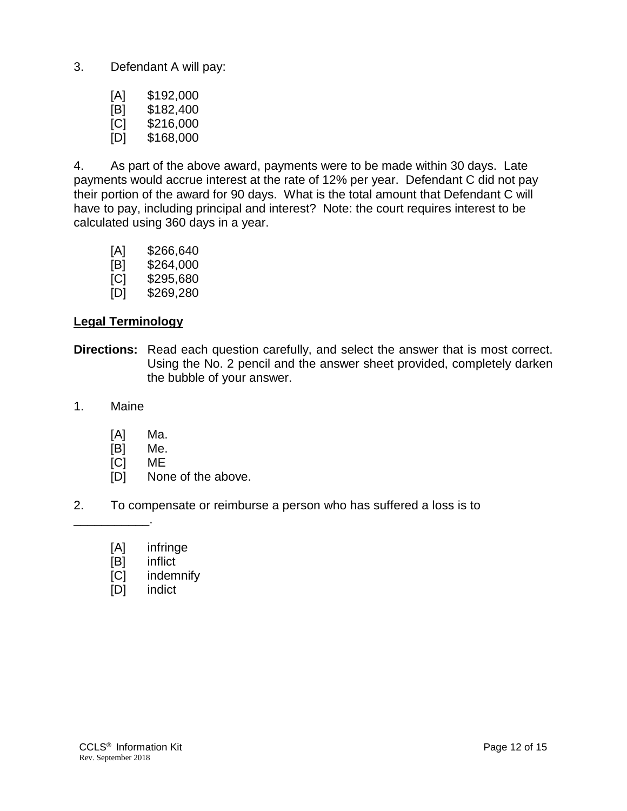3. Defendant A will pay:

| [A] | \$192,000 |
|-----|-----------|
| [B] | \$182,400 |
| [C] | \$216,000 |
| [D] | \$168,000 |

4. As part of the above award, payments were to be made within 30 days. Late payments would accrue interest at the rate of 12% per year. Defendant C did not pay their portion of the award for 90 days. What is the total amount that Defendant C will have to pay, including principal and interest? Note: the court requires interest to be calculated using 360 days in a year.

| [A] | \$266,640 |  |
|-----|-----------|--|
|-----|-----------|--|

- [B] \$264,000
- [C] \$295,680
- [D] \$269,280

#### **Legal Terminology**

- **Directions:** Read each question carefully, and select the answer that is most correct. Using the No. 2 pencil and the answer sheet provided, completely darken the bubble of your answer.
- 1. Maine

\_\_\_\_\_\_\_\_\_\_\_.

- [A] Ma.
- [B] Me.
- [C] ME
- [D] None of the above.
- 2. To compensate or reimburse a person who has suffered a loss is to
	- [A] infringe
	- [B] inflict
	- [C] indemnify
	- [D] indict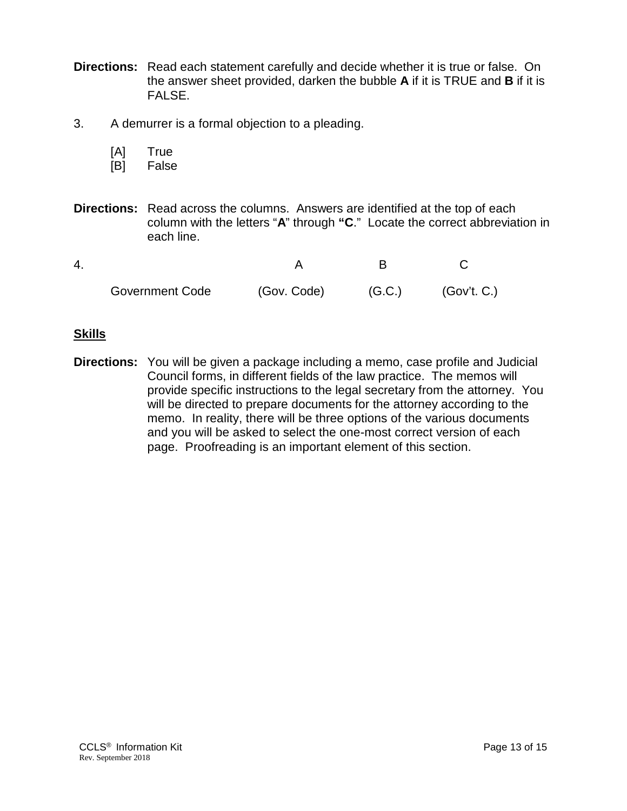- **Directions:** Read each statement carefully and decide whether it is true or false. On the answer sheet provided, darken the bubble **A** if it is TRUE and **B** if it is FALSE.
- 3. A demurrer is a formal objection to a pleading.
	- [A] True
	- [B] False
- **Directions:** Read across the columns. Answers are identified at the top of each column with the letters "**A**" through **"C**." Locate the correct abbreviation in each line.

| <b>Government Code</b> | (Gov. Code) | (G.C.) | (Gov't. C.) |
|------------------------|-------------|--------|-------------|

#### **Skills**

**Directions:** You will be given a package including a memo, case profile and Judicial Council forms, in different fields of the law practice. The memos will provide specific instructions to the legal secretary from the attorney. You will be directed to prepare documents for the attorney according to the memo. In reality, there will be three options of the various documents and you will be asked to select the one-most correct version of each page. Proofreading is an important element of this section.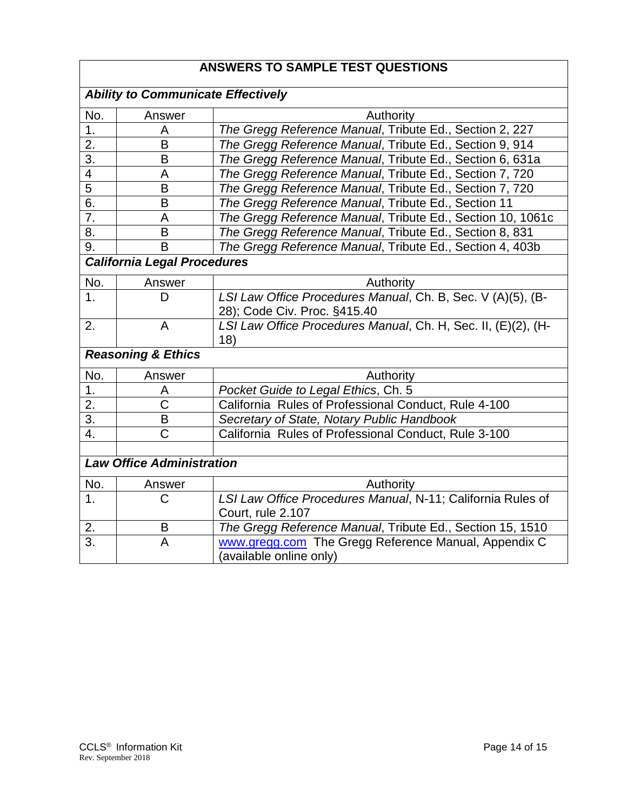## **ANSWERS TO SAMPLE TEST QUESTIONS**

| <b>Ability to Communicate Effectively</b> |                       |                                                                      |  |  |
|-------------------------------------------|-----------------------|----------------------------------------------------------------------|--|--|
| No.                                       | Answer                | Authority                                                            |  |  |
| 1.                                        | A                     | The Gregg Reference Manual, Tribute Ed., Section 2, 227              |  |  |
| $\overline{2}$ .                          | B                     | The Gregg Reference Manual, Tribute Ed., Section 9, 914              |  |  |
| $\overline{3}$ .                          | B                     | The Gregg Reference Manual, Tribute Ed., Section 6, 631a             |  |  |
| $\overline{\mathbf{4}}$                   | A                     | The Gregg Reference Manual, Tribute Ed., Section 7, 720              |  |  |
| 5                                         | B                     | The Gregg Reference Manual, Tribute Ed., Section 7, 720              |  |  |
| 6.                                        | B                     | The Gregg Reference Manual, Tribute Ed., Section 11                  |  |  |
| 7.                                        | A                     | The Gregg Reference Manual, Tribute Ed., Section 10, 1061c           |  |  |
| 8.                                        | B                     | The Gregg Reference Manual, Tribute Ed., Section 8, 831              |  |  |
| 9.                                        | B                     | The Gregg Reference Manual, Tribute Ed., Section 4, 403b             |  |  |
| <b>California Legal Procedures</b>        |                       |                                                                      |  |  |
| No.                                       | Answer                | Authority                                                            |  |  |
| 1.                                        | D                     | LSI Law Office Procedures Manual, Ch. B, Sec. V (A)(5), (B-          |  |  |
|                                           |                       | 28); Code Civ. Proc. §415.40                                         |  |  |
| 2.                                        | A                     | LSI Law Office Procedures Manual, Ch. H, Sec. II, (E)(2), (H-<br>18) |  |  |
| <b>Reasoning &amp; Ethics</b>             |                       |                                                                      |  |  |
| No.                                       | Answer                | Authority                                                            |  |  |
| 1.                                        | A                     | Pocket Guide to Legal Ethics, Ch. 5                                  |  |  |
| 2.                                        | C                     | California Rules of Professional Conduct, Rule 4-100                 |  |  |
| $\overline{3}$ .                          | B                     | Secretary of State, Notary Public Handbook                           |  |  |
| 4.                                        | $\overline{\text{C}}$ | California Rules of Professional Conduct, Rule 3-100                 |  |  |
|                                           |                       |                                                                      |  |  |
| <b>Law Office Administration</b>          |                       |                                                                      |  |  |
| No.                                       | Answer                | Authority                                                            |  |  |
| 1.                                        | С                     | LSI Law Office Procedures Manual, N-11; California Rules of          |  |  |
|                                           |                       | Court, rule 2.107                                                    |  |  |
| 2.                                        | B                     | The Gregg Reference Manual, Tribute Ed., Section 15, 1510            |  |  |
| 3.                                        | A                     | www.gregg.com The Gregg Reference Manual, Appendix C                 |  |  |
|                                           |                       | (available online only)                                              |  |  |